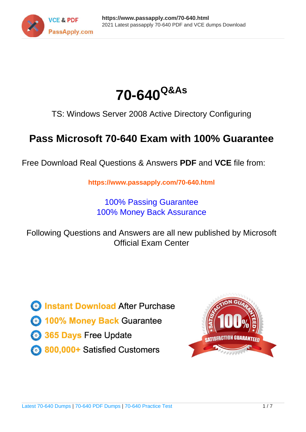



TS: Windows Server 2008 Active Directory Configuring

# **Pass Microsoft 70-640 Exam with 100% Guarantee**

Free Download Real Questions & Answers **PDF** and **VCE** file from:

**https://www.passapply.com/70-640.html**

100% Passing Guarantee 100% Money Back Assurance

Following Questions and Answers are all new published by Microsoft Official Exam Center

**C** Instant Download After Purchase

**83 100% Money Back Guarantee** 

- 365 Days Free Update
- 800,000+ Satisfied Customers

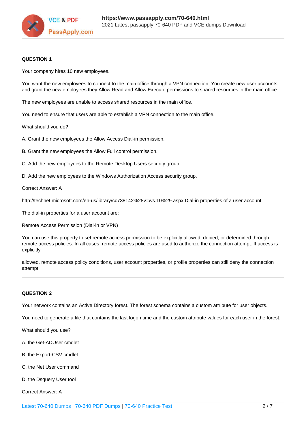

### **QUESTION 1**

Your company hires 10 new employees.

You want the new employees to connect to the main office through a VPN connection. You create new user accounts and grant the new employees they Allow Read and Allow Execute permissions to shared resources in the main office.

The new employees are unable to access shared resources in the main office.

You need to ensure that users are able to establish a VPN connection to the main office.

What should you do?

A. Grant the new employees the Allow Access Dial-in permission.

B. Grant the new employees the Allow Full control permission.

C. Add the new employees to the Remote Desktop Users security group.

D. Add the new employees to the Windows Authorization Access security group.

Correct Answer: A

http://technet.microsoft.com/en-us/library/cc738142%28v=ws.10%29.aspx Dial-in properties of a user account

The dial-in properties for a user account are:

Remote Access Permission (Dial-in or VPN)

You can use this property to set remote access permission to be explicitly allowed, denied, or determined through remote access policies. In all cases, remote access policies are used to authorize the connection attempt. If access is explicitly

allowed, remote access policy conditions, user account properties, or profile properties can still deny the connection attempt.

### **QUESTION 2**

Your network contains an Active Directory forest. The forest schema contains a custom attribute for user objects.

You need to generate a file that contains the last logon time and the custom attribute values for each user in the forest.

What should you use?

- A. the Get-ADUser cmdlet
- B. the Export-CSV cmdlet
- C. the Net User command
- D. the Dsquery User tool

Correct Answer: A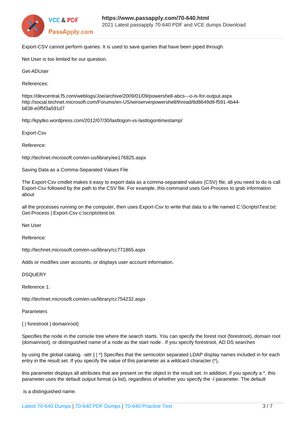

Export-CSV cannot perform queries. It is used to save queries that have been piped through.

Net User is too limited for our question.

Get-ADUser

References:

https://devcentral.f5.com/weblogs/Joe/archive/2009/01/09/powershell-abcs---o-is-for-output.aspx http://social.technet.microsoft.com/Forums/en-US/winserverpowershell/thread/8d8649d9-f591-4b44 b838-e0f5f3a591d7

http://kpytko.wordpress.com/2012/07/30/lastlogon-vs-lastlogontimestamp/

Export-Csv

Reference:

http://technet.microsoft.com/en-us/library/ee176825.aspx

Saving Data as a Comma-Separated Values File

The Export-Csv cmdlet makes it easy to export data as a comma-separated values (CSV) file; all you need to do is call Export-Csv followed by the path to the CSV file. For example, this command uses Get-Process to grab information about

all the processes running on the computer, then uses Export-Csv to write that data to a file named C:\Scripts\Test.txt: Get-Process | Export-Csv c:\scripts\test.txt.

Net User

Reference:

http://technet.microsoft.com/en-us/library/cc771865.aspx

Adds or modifies user accounts, or displays user account information.

**DSQUERY** 

Reference 1:

http://technet.microsoft.com/en-us/library/cc754232.aspx

Parameters

{ | forestroot | domainroot}

Specifies the node in the console tree where the search starts. You can specify the forest root (forestroot), domain root (domainroot), or distinguished name of a node as the start node . If you specify forestroot, AD DS searches

by using the global catalog. -attr { | \*} Specifies that the semicolon separated LDAP display names included in for each entry in the result set. If you specify the value of this parameter as a wildcard character  $(*)$ ,

this parameter displays all attributes that are present on the object in the result set. In addition, if you specify a \*, this parameter uses the default output format (a list), regardless of whether you specify the -l parameter. The default

is a distinguished name.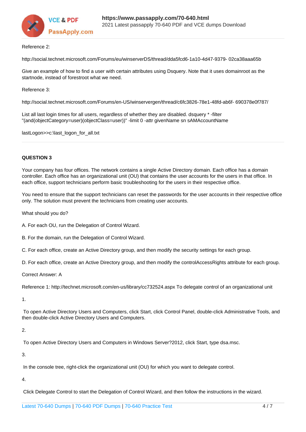

#### Reference 2:

http://social.technet.microsoft.com/Forums/eu/winserverDS/thread/dda5fcd6-1a10-4d47-9379- 02ca38aaa65b

Give an example of how to find a user with certain attributes using Dsquery. Note that it uses domainroot as the startnode, instead of forestroot what we need.

Reference 3:

http://social.technet.microsoft.com/Forums/en-US/winservergen/thread/c6fc3826-78e1-48fd-ab6f- 690378e0f787/

List all last login times for all users, regardless of whether they are disabled. dsquery \* -filter "(and(objectCategory=user)(objectClass=user))" -limit 0 -attr givenName sn sAMAccountName

lastLogon>>c:\last\_logon\_for\_all.txt

# **QUESTION 3**

Your company has four offices. The network contains a single Active Directory domain. Each office has a domain controller. Each office has an organizational unit (OU) that contains the user accounts for the users in that office. In each office, support technicians perform basic troubleshooting for the users in their respective office.

You need to ensure that the support technicians can reset the passwords for the user accounts in their respective office only. The solution must prevent the technicians from creating user accounts.

What should you do?

A. For each OU, run the Delegation of Control Wizard.

B. For the domain, run the Delegation of Control Wizard.

C. For each office, create an Active Directory group, and then modify the security settings for each group.

D. For each office, create an Active Directory group, and then modify the controlAccessRights attribute for each group.

Correct Answer: A

Reference 1: http://technet.microsoft.com/en-us/library/cc732524.aspx To delegate control of an organizational unit

1.

 To open Active Directory Users and Computers, click Start, click Control Panel, double-click Administrative Tools, and then double-click Active Directory Users and Computers.

2.

To open Active Directory Users and Computers in Windows Server?2012, click Start, type dsa.msc.

3.

In the console tree, right-click the organizational unit (OU) for which you want to delegate control.

4.

Click Delegate Control to start the Delegation of Control Wizard, and then follow the instructions in the wizard.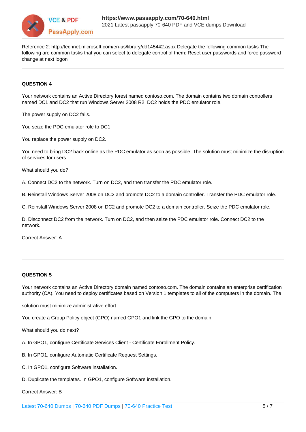

Reference 2: http://technet.microsoft.com/en-us/library/dd145442.aspx Delegate the following common tasks The following are common tasks that you can select to delegate control of them: Reset user passwords and force password change at next logon

## **QUESTION 4**

Your network contains an Active Directory forest named contoso.com. The domain contains two domain controllers named DC1 and DC2 that run Windows Server 2008 R2. DC2 holds the PDC emulator role.

The power supply on DC2 fails.

You seize the PDC emulator role to DC1.

You replace the power supply on DC2.

You need to bring DC2 back online as the PDC emulator as soon as possible. The solution must minimize the disruption of services for users.

What should you do?

A. Connect DC2 to the network. Turn on DC2, and then transfer the PDC emulator role.

B. Reinstall Windows Server 2008 on DC2 and promote DC2 to a domain controller. Transfer the PDC emulator role.

C. Reinstall Windows Server 2008 on DC2 and promote DC2 to a domain controller. Seize the PDC emulator role.

D. Disconnect DC2 from the network. Turn on DC2, and then seize the PDC emulator role. Connect DC2 to the network.

Correct Answer: A

#### **QUESTION 5**

Your network contains an Active Directory domain named contoso.com. The domain contains an enterprise certification authority (CA). You need to deploy certificates based on Version 1 templates to all of the computers in the domain. The

solution must minimize administrative effort.

You create a Group Policy object (GPO) named GPO1 and link the GPO to the domain.

What should you do next?

A. In GPO1, configure Certificate Services Client - Certificate Enrollment Policy.

B. In GPO1, configure Automatic Certificate Request Settings.

C. In GPO1, configure Software installation.

D. Duplicate the templates. In GPO1, configure Software installation.

Correct Answer: B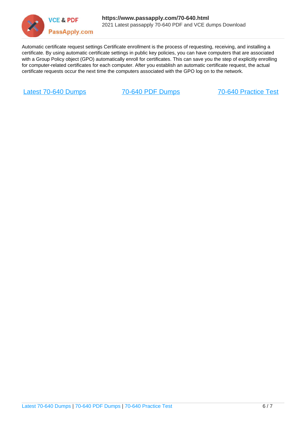

Automatic certificate request settings Certificate enrollment is the process of requesting, receiving, and installing a certificate. By using automatic certificate settings in public key policies, you can have computers that are associated with a Group Policy object (GPO) automatically enroll for certificates. This can save you the step of explicitly enrolling for computer-related certificates for each computer. After you establish an automatic certificate request, the actual certificate requests occur the next time the computers associated with the GPO log on to the network.

[Latest 70-640 Dumps](https://www.passapply.com/70-640.html) [70-640 PDF Dumps](https://www.passapply.com/70-640.html) [70-640 Practice Test](https://www.passapply.com/70-640.html)